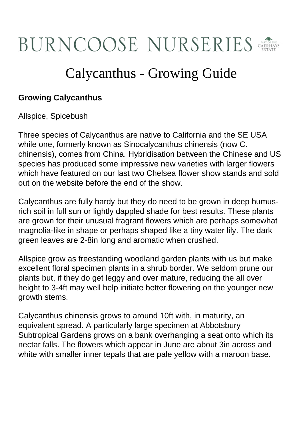## **BURNCOOSE NURSERIES**

## Calycanthus - Growing Guide

## **Growing Calycanthus**

Allspice, Spicebush

Three species of Calycanthus are native to California and the SE USA while one, formerly known as Sinocalycanthus chinensis (now C. chinensis), comes from China. Hybridisation between the Chinese and US species has produced some impressive new varieties with larger flowers which have featured on our last two Chelsea flower show stands and sold out on the website before the end of the show.

Calycanthus are fully hardy but they do need to be grown in deep humusrich soil in full sun or lightly dappled shade for best results. These plants are grown for their unusual fragrant flowers which are perhaps somewhat magnolia-like in shape or perhaps shaped like a tiny water lily. The dark green leaves are 2-8in long and aromatic when crushed.

Allspice grow as freestanding woodland garden plants with us but make excellent floral specimen plants in a shrub border. We seldom prune our plants but, if they do get leggy and over mature, reducing the all over height to 3-4ft may well help initiate better flowering on the younger new growth stems.

Calycanthus chinensis grows to around 10ft with, in maturity, an equivalent spread. A particularly large specimen at Abbotsbury Subtropical Gardens grows on a bank overhanging a seat onto which its nectar falls. The flowers which appear in June are about 3in across and white with smaller inner tepals that are pale yellow with a maroon base.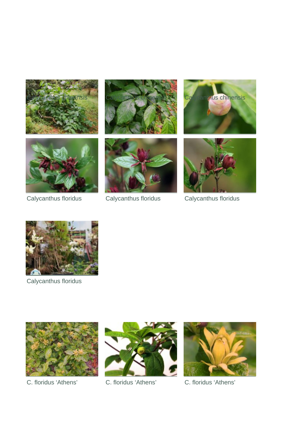









Calycanthus floridus Calycanthus floridus Calycanthus floridus





Calycanthus floridus





C. floridus 'Athens' C. floridus 'Athens' C. floridus 'Athens'

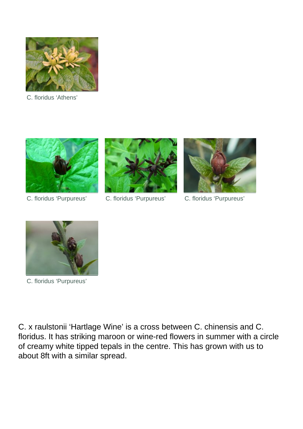

C. floridus 'Athens'





C. floridus 'Purpureus' C. floridus 'Purpureus' C. floridus 'Purpureus'





C. floridus 'Purpureus'

C. x raulstonii 'Hartlage Wine' is a cross between C. chinensis and C. floridus. It has striking maroon or wine-red flowers in summer with a circle of creamy white tipped tepals in the centre. This has grown with us to about 8ft with a similar spread.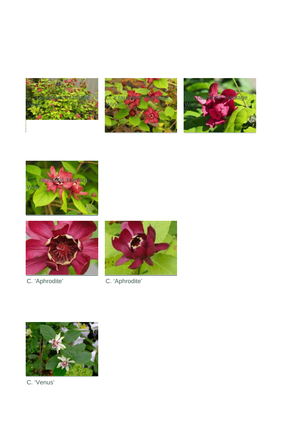











C. 'Aphrodite' C. 'Aphrodite'



C. 'Venus'